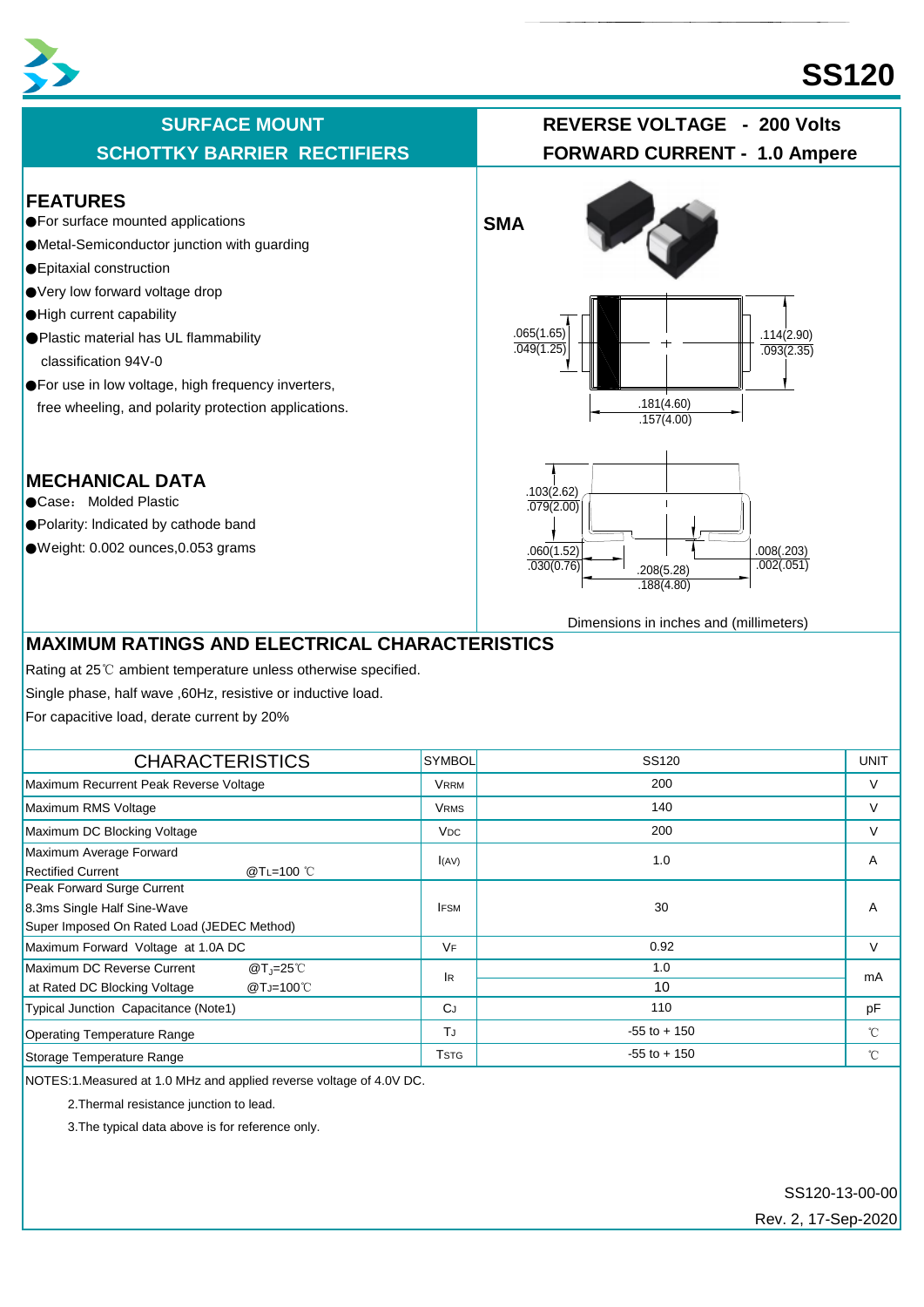

# **SS120**

#### **FEATURES**

- ●For surface mounted applications **SMA**
- ●Metal-Semiconductor junction with guarding
- ●Epitaxial construction
- Very low forward voltage drop
- ●High current capability
- ●Plastic material has UL flammability classification 94V-0
- ●For use in low voltage, high frequency inverters, free wheeling, and polarity protection applications.

# **MECHANICAL DATA**

- ●Case: Molded Plastic
- ●Polarity: lndicated by cathode band
- ●Weight: 0.002 ounces,0.053 grams



Dimensions in inches and (millimeters)

# **MAXIMUM RATINGS AND ELECTRICAL CHARACTERISTICS**

Rating at 25℃ ambient temperature unless otherwise specified.

Single phase, half wave ,60Hz, resistive or inductive load.

For capacitive load, derate current by 20%

| <b>CHARACTERISTICS</b>                                                                                  | <b>SYMBOL</b>         | SS120           | <b>UNIT</b>  |
|---------------------------------------------------------------------------------------------------------|-----------------------|-----------------|--------------|
| Maximum Recurrent Peak Reverse Voltage                                                                  | VRRM                  | 200             | $\vee$       |
| Maximum RMS Voltage                                                                                     | <b>VRMS</b>           | 140             | V            |
| Maximum DC Blocking Voltage                                                                             | <b>V<sub>DC</sub></b> | 200             | V            |
| Maximum Average Forward<br><b>Rectified Current</b><br>@TL=100 °C                                       | I(AV)                 | 1.0             | A            |
| Peak Forward Surge Current<br>8.3ms Single Half Sine-Wave<br>Super Imposed On Rated Load (JEDEC Method) | <b>IFSM</b>           | 30              | A            |
| Maximum Forward Voltage at 1.0A DC                                                                      | VF                    | 0.92            | $\vee$       |
| Maximum DC Reverse Current<br>$@T_1=25^\circ C$<br>@TJ=100℃<br>at Rated DC Blocking Voltage             | lR.                   | 1.0<br>10       | mA           |
| Typical Junction Capacitance (Note1)                                                                    | <b>C</b> J            | 110             | pF           |
| <b>Operating Temperature Range</b>                                                                      | TJ                    | $-55$ to $+150$ | $^{\circ}$ C |
| Storage Temperature Range                                                                               | Tstg                  | $-55$ to $+150$ | $^{\circ}$ C |

NOTES:1.Measured at 1.0 MHz and applied reverse voltage of 4.0V DC.

2.Thermal resistance junction to lead.

3.The typical data above is for reference only.

SS120-13-00-00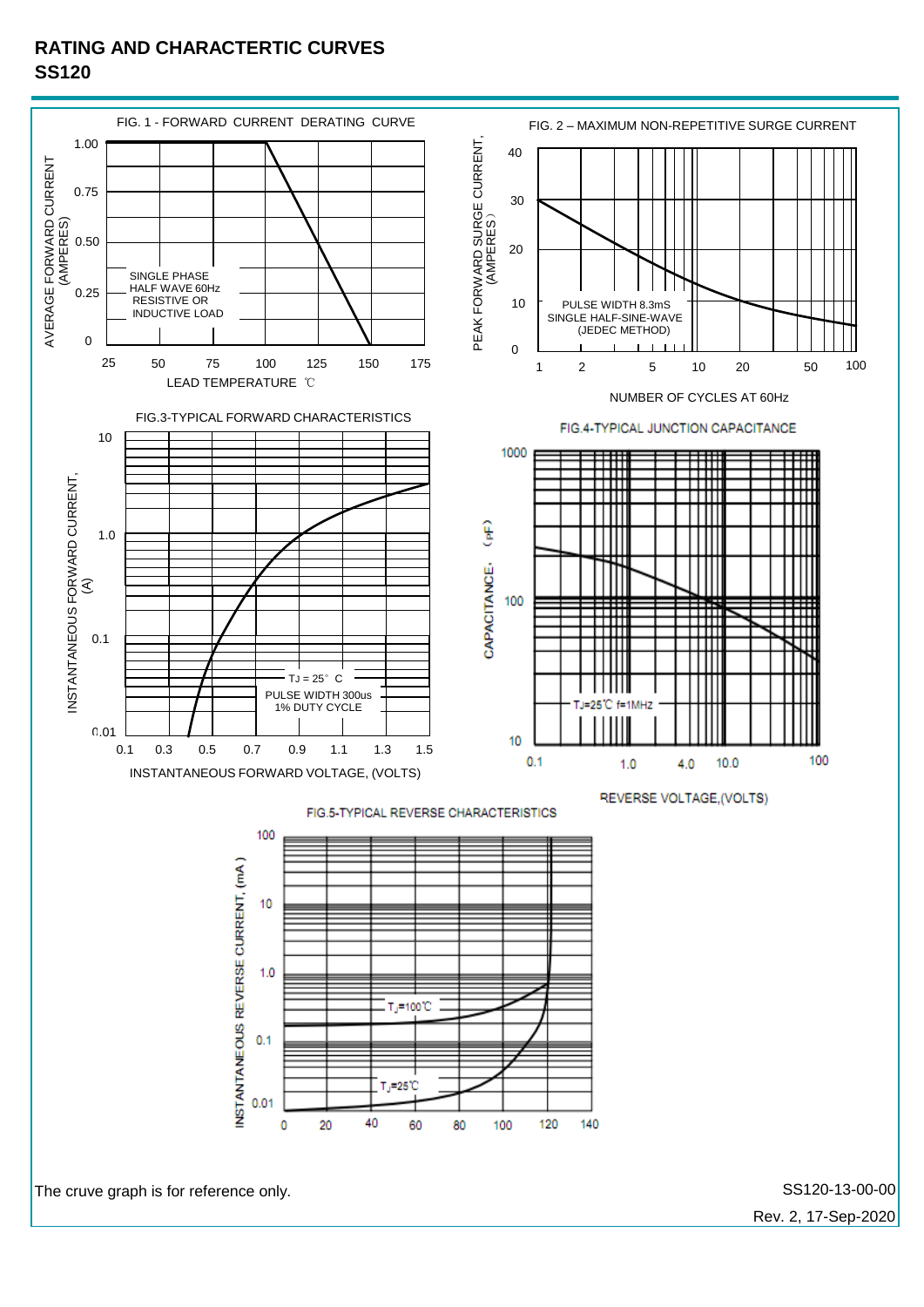### **RATING AND CHARACTERTIC CURVES SS120**



Rev. 2, 17-Sep-2020